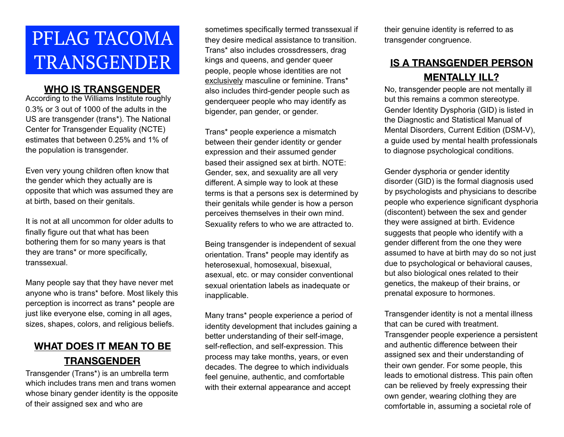# PFLAG TACOMA TRANSGENDER

#### **WHO IS TRANSGENDER**

According to the Williams Institute roughly 0.3% or 3 out of 1000 of the adults in the US are transgender (trans\*). The National Center for Transgender Equality (NCTE) estimates that between 0.25% and 1% of the population is transgender.

Even very young children often know that the gender which they actually are is opposite that which was assumed they are at birth, based on their genitals.

It is not at all uncommon for older adults to finally figure out that what has been bothering them for so many years is that they are trans\* or more specifically, transsexual.

Many people say that they have never met anyone who is trans\* before. Most likely this perception is incorrect as trans\* people are just like everyone else, coming in all ages, sizes, shapes, colors, and religious beliefs.

# **WHAT DOES IT MEAN TO BE TRANSGENDER**

Transgender (Trans\*) is an umbrella term which includes trans men and trans women whose binary gender identity is the opposite of their assigned sex and who are

sometimes specifically termed transsexual if they desire medical assistance to transition. Trans\* also includes crossdressers, drag kings and queens, and gender queer people, people whose identities are not exclusively masculine or feminine. Trans\* also includes third-gender people such as genderqueer people who may identify as bigender, pan gender, or gender.

Trans\* people experience a mismatch between their gender identity or gender expression and their assumed gender based their assigned sex at birth. NOTE: Gender, sex, and sexuality are all very different. A simple way to look at these terms is that a persons sex is determined by their genitals while gender is how a person perceives themselves in their own mind. Sexuality refers to who we are attracted to.

Being transgender is independent of sexual orientation. Trans\* people may identify as heterosexual, homosexual, bisexual, asexual, etc. or may consider conventional sexual orientation labels as inadequate or inapplicable.

Many trans\* people experience a period of identity development that includes gaining a better understanding of their self-image, self-reflection, and self-expression. This process may take months, years, or even decades. The degree to which individuals feel genuine, authentic, and comfortable with their external appearance and accept

their genuine identity is referred to as transgender congruence.

## **IS A TRANSGENDER PERSON MENTALLY ILL?**

No, transgender people are not mentally ill but this remains a common stereotype. Gender Identity Dysphoria (GID) is listed in the Diagnostic and Statistical Manual of Mental Disorders, Current Edition (DSM-V), a guide used by mental health professionals to diagnose psychological conditions.

Gender dysphoria or gender identity disorder (GID) is the formal diagnosis used by psychologists and physicians to describe people who experience significant dysphoria (discontent) between the sex and gender they were assigned at birth. Evidence suggests that people who identify with a gender different from the one they were assumed to have at birth may do so not just due to psychological or behavioral causes, but also biological ones related to their genetics, the makeup of their brains, or prenatal exposure to hormones.

Transgender identity is not a mental illness that can be cured with treatment. Transgender people experience a persistent and authentic difference between their assigned sex and their understanding of their own gender. For some people, this leads to emotional distress. This pain often can be relieved by freely expressing their own gender, wearing clothing they are comfortable in, assuming a societal role of